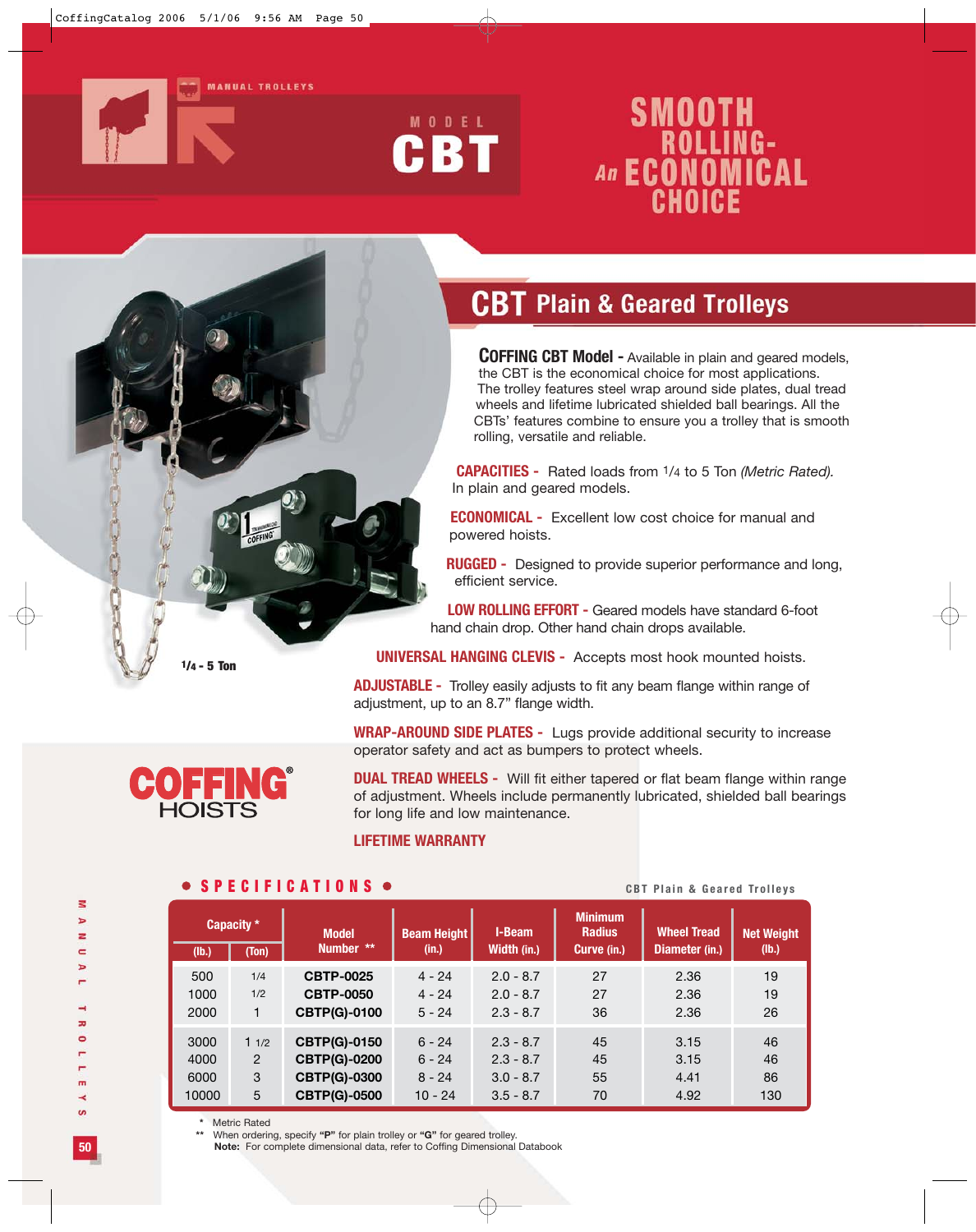



# **SMOOTH<br>
ROLLING-<br>
An ECONOMICAL**<br>
CHOICE

## **CBT Plain & Geared Trolleys**

**COFFING CBT Model -** Available in plain and geared models, the CBT is the economical choice for most applications. The trolley features steel wrap around side plates, dual tread wheels and lifetime lubricated shielded ball bearings. All the CBTs' features combine to ensure you a trolley that is smooth rolling, versatile and reliable.

**CAPACITIES -** Rated loads from 1/4 to 5 Ton *(Metric Rated).* In plain and geared models.

**ECONOMICAL -** Excellent low cost choice for manual and powered hoists.

**RUGGED -** Designed to provide superior performance and long, efficient service.

**LOW ROLLING EFFORT -** Geared models have standard 6-foot hand chain drop. Other hand chain drops available.

**UNIVERSAL HANGING CLEVIS -** Accepts most hook mounted hoists.

**ADJUSTABLE -** Trolley easily adjusts to fit any beam flange within range of adjustment, up to an 8.7" flange width.

**WRAP-AROUND SIDE PLATES -** Lugs provide additional security to increase operator safety and act as bumpers to protect wheels.

**DUAL TREAD WHEELS -** Will fit either tapered or flat beam flange within range of adjustment. Wheels include permanently lubricated, shielded ball bearings for long life and low maintenance.

#### **LIFETIME WARRANTY**

#### **Minimum Model | Beam Height** | I-Beam | Radius | Wheel Tread | Net Weight  **Number \*\* (in.) Width (in.) Curve (in.) Diameter (in.) (lb.)** 500 1/4 **CBTP-0025** 4 - 24 2.0 - 8.7 27 2.36 19 1000 1/2 **CBTP-0050** 4 - 24 2.0 - 8.7 27 2.36 19 2000 1 **CBTP(G)-0100** 5 - 24 2.3 - 8.7 36 2.36 26 3000 1 1/2 **CBTP(G)-0150** 6 - 24 2.3 - 8.7 45 3.15 46 4000 2 **CBTP(G)-0200** 6 - 24 2.3 - 8.7 45 3.15 46 6000 3 **CBTP(G)-0300** 8 - 24 3.0 - 8.7 55 4.41 86 10000 5 **CBTP(G)-0500** 10 - 24 3.5 - 8.7 70 4.92 130 **Capacity \* (lb.) (Ton)**

**SPECIFICATIONS** <br> **CBT Plain & Geared Trolleys** 

**\*** Metric Rated

**\*\*** When ordering, specify **"P"** for plain trolley or **"G"** for geared trolley.

**Note:** For complete dimensional data, refer to Coffing Dimensional Databook

z

**50**



**1/4 - 5 Ton**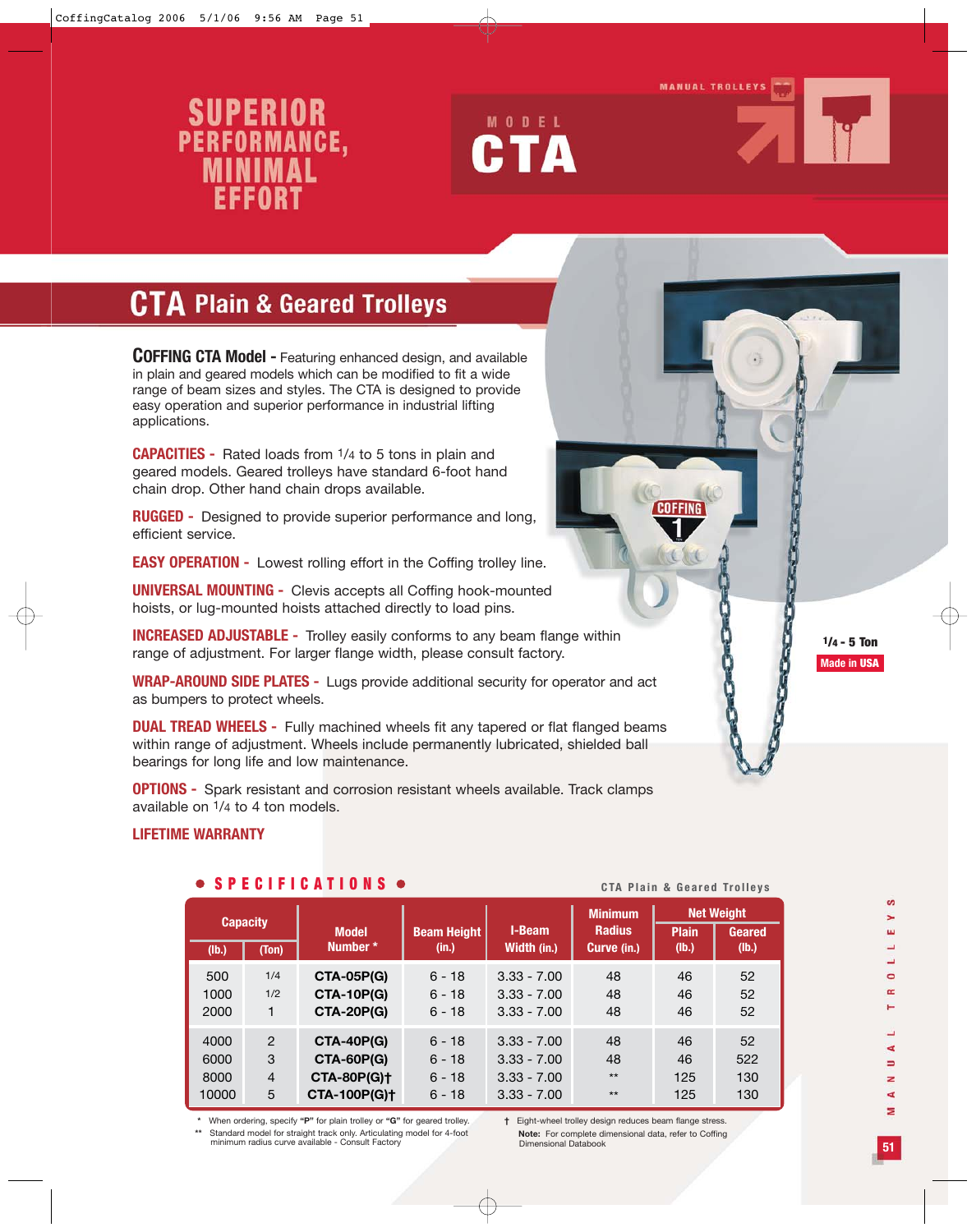#### **MANUAL TROLLEYS**

# SUPERIOR<br>PERFORMANCE,<br>MINIMAL FFFORT





### **CTA Plain & Geared Trolleys**

**COFFING CTA Model -** Featuring enhanced design, and available in plain and geared models which can be modified to fit a wide range of beam sizes and styles. The CTA is designed to provide easy operation and superior performance in industrial lifting applications.

**CAPACITIES -** Rated loads from 1/4 to 5 tons in plain and geared models. Geared trolleys have standard 6-foot hand chain drop. Other hand chain drops available.

**RUGGED -** Designed to provide superior performance and long, efficient service.

**EASY OPERATION -** Lowest rolling effort in the Coffing trolley line.

**UNIVERSAL MOUNTING -** Clevis accepts all Coffing hook-mounted hoists, or lug-mounted hoists attached directly to load pins.

**INCREASED ADJUSTABLE -** Trolley easily conforms to any beam flange within range of adjustment. For larger flange width, please consult factory.

**WRAP-AROUND SIDE PLATES -** Lugs provide additional security for operator and act as bumpers to protect wheels.

**DUAL TREAD WHEELS -** Fully machined wheels fit any tapered or flat flanged beams within range of adjustment. Wheels include permanently lubricated, shielded ball bearings for long life and low maintenance.

**OPTIONS -** Spark resistant and corrosion resistant wheels available. Track clamps available on 1/4 to 4 ton models.

#### **LIFETIME WARRANTY**

|                                   |                                           | .                                                                                   | <b>UIA FIAIII Q UGAIGU IIUIIGVS</b>          |                                                                  |                                                |                        |                                             |
|-----------------------------------|-------------------------------------------|-------------------------------------------------------------------------------------|----------------------------------------------|------------------------------------------------------------------|------------------------------------------------|------------------------|---------------------------------------------|
| <b>Capacity</b><br>(Ton)<br>(Ib.) |                                           | <b>Model</b><br>Number *                                                            | <b>Beam Height</b><br>(in.)                  | I-Beam<br>Width (in.)                                            | <b>Minimum</b><br><b>Radius</b><br>Curve (in.) | <b>Plain</b><br>(Ib.)  | <b>Net Weight</b><br><b>Geared</b><br>(Ib.) |
| 500<br>1000<br>2000               | 1/4<br>1/2                                | <b>CTA-05P(G)</b><br><b>CTA-10P(G)</b><br><b>CTA-20P(G)</b>                         | $6 - 18$<br>$6 - 18$<br>$6 - 18$             | $3.33 - 7.00$<br>$3.33 - 7.00$<br>$3.33 - 7.00$                  | 48<br>48<br>48                                 | 46<br>46<br>46         | 52<br>52<br>52                              |
| 4000<br>6000<br>8000<br>10000     | $\mathcal{P}$<br>3<br>$\overline{4}$<br>5 | <b>CTA-40P(G)</b><br><b>CTA-60P(G)</b><br><b>CTA-80P(G)+</b><br><b>CTA-100P(G)+</b> | $6 - 18$<br>$6 - 18$<br>$6 - 18$<br>$6 - 18$ | $3.33 - 7.00$<br>$3.33 - 7.00$<br>$3.33 - 7.00$<br>$3.33 - 7.00$ | 48<br>48<br>$**$<br>$**$                       | 46<br>46<br>125<br>125 | 52<br>522<br>130<br>130                     |

#### **SPECIFICATIONS CTA Plain & Geared Trolleys**

**\*** When ordering, specify **"P"** for plain trolley or **"G"** for geared trolley. **\*\*** Standard model for straight track only. Articulating model for 4-foot minimum radius curve available - Consult Factory

**†** Eight-wheel trolley design reduces beam flange stress. **Note:** For complete dimensional data, refer to Coffing Dimensional Databook

**COCONNAIGNATION** 

S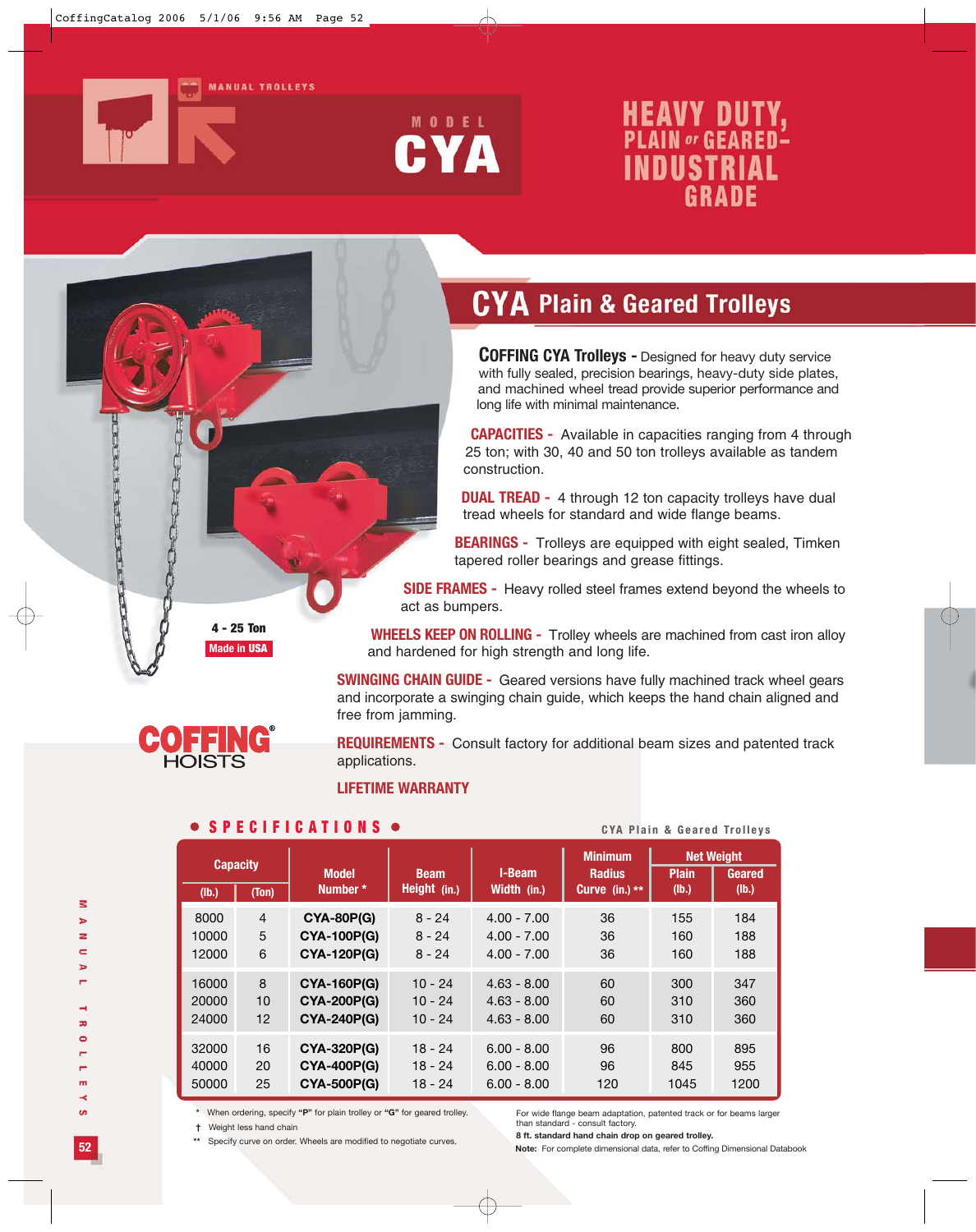

**Figure** 

TANK AND A PLAIN AND A PLAIN



# **HEAVY DUTY,**<br>PLAIN or GEARED-**INDUSTRIAL GRADE**

# **CYA Plain & Geared Trolleys**

**COFFING CYA Trolleys -** Designed for heavy duty service with fully sealed, precision bearings, heavy-duty side plates, and machined wheel tread provide superior performance and long life with minimal maintenance.

**CAPACITIES -** Available in capacities ranging from 4 through 25 ton; with 30, 40 and 50 ton trolleys available as tandem construction.

**DUAL TREAD -** 4 through 12 ton capacity trolleys have dual tread wheels for standard and wide flange beams.

**BEARINGS -** Trolleys are equipped with eight sealed, Timken tapered roller bearings and grease fittings.

**SIDE FRAMES -** Heavy rolled steel frames extend beyond the wheels to act as bumpers.

**WHEELS KEEP ON ROLLING -** Trolley wheels are machined from cast iron alloy and hardened for high strength and long life.

**SWINGING CHAIN GUIDE -** Geared versions have fully machined track wheel gears and incorporate a swinging chain guide, which keeps the hand chain aligned and free from jamming.

**REQUIREMENTS -** Consult factory for additional beam sizes and patented track applications.

#### **LIFETIME WARRANTY**

#### **SPECIFICATIONS**  $\bullet$  **CYA Plain & Geared Trolleys**

| <b>Capacity</b>                 |                      | <b>Model</b><br>Number *                                      | <b>Beam</b><br>Height (in.)      | I-Beam<br>Width (in.)                           | <b>Minimum</b><br><b>Radius</b><br>Curve (in.) $**$ | <b>Plain</b><br>(lb.) | <b>Net Weight</b><br>Geared<br>(lb.) |
|---------------------------------|----------------------|---------------------------------------------------------------|----------------------------------|-------------------------------------------------|-----------------------------------------------------|-----------------------|--------------------------------------|
| (Ib.)<br>8000<br>10000<br>12000 | (Ton)<br>4<br>5<br>6 | <b>CYA-80P(G)</b><br><b>CYA-100P(G)</b><br><b>CYA-120P(G)</b> | $8 - 24$<br>$8 - 24$<br>$8 - 24$ | $4.00 - 7.00$<br>$4.00 - 7.00$<br>$4.00 - 7.00$ | 36<br>36<br>36                                      | 155<br>160<br>160     | 184<br>188<br>188                    |
| 16000                           | 8                    | <b>CYA-160P(G)</b>                                            | $10 - 24$                        | $4.63 - 8.00$                                   | 60                                                  | 300                   | 347                                  |
| 20000                           | 10                   | <b>CYA-200P(G)</b>                                            | $10 - 24$                        | $4.63 - 8.00$                                   | 60                                                  | 310                   | 360                                  |
| 24000                           | 12                   | <b>CYA-240P(G)</b>                                            | $10 - 24$                        | $4.63 - 8.00$                                   | 60                                                  | 310                   | 360                                  |
| 32000                           | 16                   | <b>CYA-320P(G)</b>                                            | $18 - 24$                        | $6.00 - 8.00$                                   | 96                                                  | 800                   | 895                                  |
| 40000                           | 20                   | <b>CYA-400P(G)</b>                                            | $18 - 24$                        | $6.00 - 8.00$                                   | 96                                                  | 845                   | 955                                  |
| 50000                           | 25                   | <b>CYA-500P(G)</b>                                            | $18 - 24$                        | $6.00 - 8.00$                                   | 120                                                 | 1045                  | 1200                                 |

**\*** When ordering, specify **"P"** for plain trolley or **"G"** for geared trolley.

**†** Weight less hand chain

**\*\*** Specify curve on order. Wheels are modified to negotiate curves.

For wide flange beam adaptation, patented track or for beams larger than standard - consult factory.

**8 ft. standard hand chain drop on geared trolley.**

**Note:** For complete dimensional data, refer to Coffing Dimensional Databook

 $\leq$ 

**52**

**Made in USA**

**4 - 25 Ton**